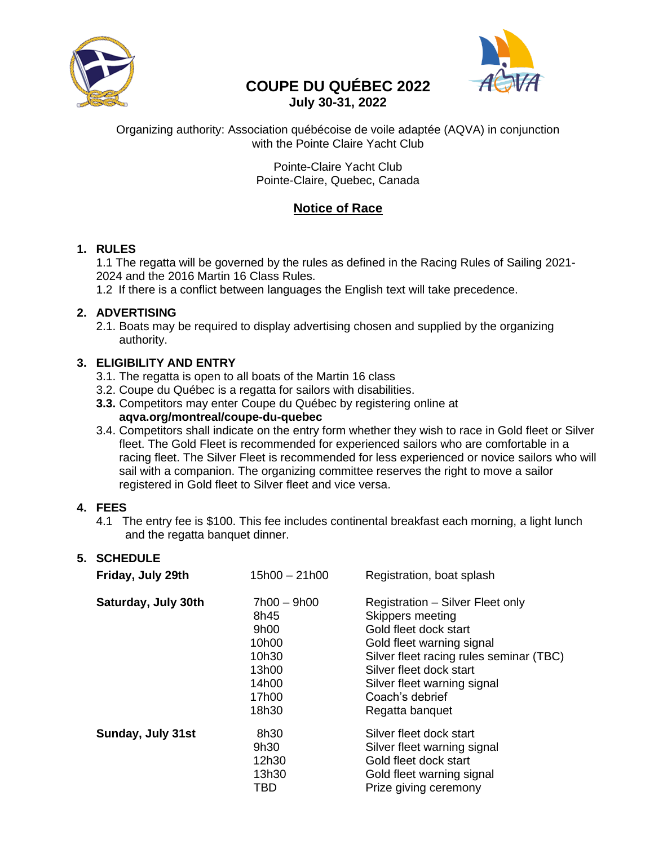

# **COUPE DU QUÉBEC 2022 July 30-31, 2022**



Organizing authority: Association québécoise de voile adaptée (AQVA) in conjunction with the Pointe Claire Yacht Club

> Pointe-Claire Yacht Club Pointe-Claire, Quebec, Canada

# **Notice of Race**

## **1. RULES**

1.1 The regatta will be governed by the rules as defined in the Racing Rules of Sailing 2021- 2024 and the 2016 Martin 16 Class Rules.

1.2 If there is a conflict between languages the English text will take precedence.

# **2. ADVERTISING**

2.1. Boats may be required to display advertising chosen and supplied by the organizing authority.

# **3. ELIGIBILITY AND ENTRY**

- 3.1. The regatta is open to all boats of the Martin 16 class
- 3.2. Coupe du Québec is a regatta for sailors with disabilities.
- **3.3.** Competitors may enter Coupe du Québec by registering online at **aqva.org/montreal/coupe-du-quebec**
- 3.4. Competitors shall indicate on the entry form whether they wish to race in Gold fleet or Silver fleet. The Gold Fleet is recommended for experienced sailors who are comfortable in a racing fleet. The Silver Fleet is recommended for less experienced or novice sailors who will sail with a companion. The organizing committee reserves the right to move a sailor registered in Gold fleet to Silver fleet and vice versa.

## **4. FEES**

4.1 The entry fee is \$100. This fee includes continental breakfast each morning, a light lunch and the regatta banquet dinner.

| 5. | <b>SCHEDULE</b><br>Friday, July 29th | 15h00 - 21h00 | Registration, boat splash               |
|----|--------------------------------------|---------------|-----------------------------------------|
|    | Saturday, July 30th                  | 7h00 - 9h00   | Registration - Silver Fleet only        |
|    |                                      | 8h45          | Skippers meeting                        |
|    |                                      | 9h00          | Gold fleet dock start                   |
|    |                                      | 10h00         | Gold fleet warning signal               |
|    |                                      | 10h30         | Silver fleet racing rules seminar (TBC) |
|    |                                      | 13h00         | Silver fleet dock start                 |
|    |                                      | 14h00         | Silver fleet warning signal             |
|    |                                      | 17h00         | Coach's debrief                         |
|    |                                      | 18h30         | Regatta banguet                         |
|    | Sunday, July 31st                    | 8h30          | Silver fleet dock start                 |
|    |                                      | 9h30          | Silver fleet warning signal             |
|    |                                      | 12h30         | Gold fleet dock start                   |
|    |                                      | 13h30         | Gold fleet warning signal               |
|    |                                      | TBD           | Prize giving ceremony                   |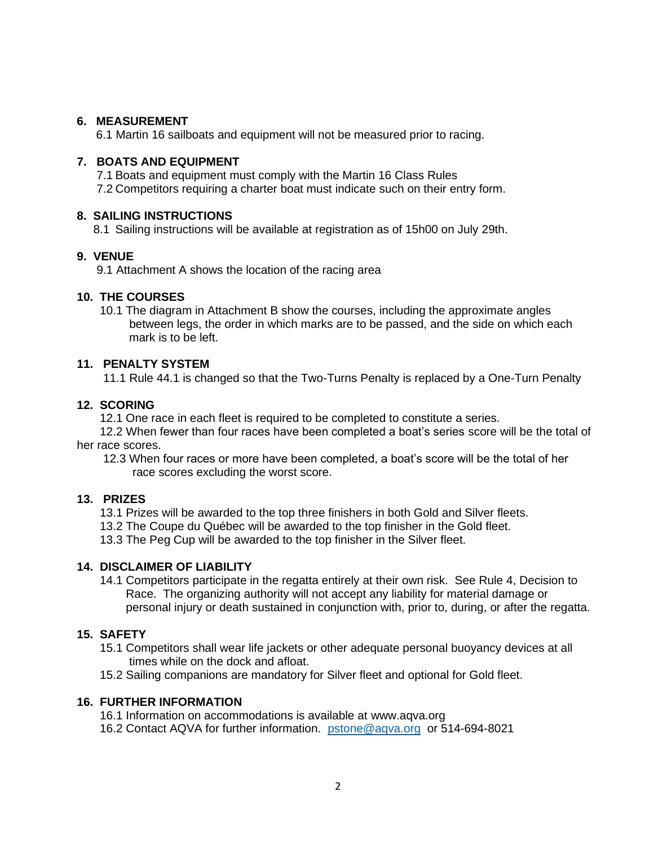### **6. MEASUREMENT**

6.1 Martin 16 sailboats and equipment will not be measured prior to racing.

#### **7. BOATS AND EQUIPMENT**

 7.1 Boats and equipment must comply with the Martin 16 Class Rules 7.2 Competitors requiring a charter boat must indicate such on their entry form.

## **8. SAILING INSTRUCTIONS**

8.1 Sailing instructions will be available at registration as of 15h00 on July 29th.

#### **9. VENUE**

9.1 Attachment A shows the location of the racing area

## **10. THE COURSES**

 10.1 The diagram in Attachment B show the courses, including the approximate angles between legs, the order in which marks are to be passed, and the side on which each mark is to be left.

## **11. PENALTY SYSTEM**

11.1 Rule 44.1 is changed so that the Two-Turns Penalty is replaced by a One-Turn Penalty

## **12. SCORING**

12.1 One race in each fleet is required to be completed to constitute a series.

 12.2 When fewer than four races have been completed a boat's series score will be the total of her race scores.

 12.3 When four races or more have been completed, a boat's score will be the total of her race scores excluding the worst score.

### **13. PRIZES**

13.1 Prizes will be awarded to the top three finishers in both Gold and Silver fleets.

13.2 The Coupe du Québec will be awarded to the top finisher in the Gold fleet.

13.3 The Peg Cup will be awarded to the top finisher in the Silver fleet.

#### **14. DISCLAIMER OF LIABILITY**

 14.1 Competitors participate in the regatta entirely at their own risk. See Rule 4, Decision to Race. The organizing authority will not accept any liability for material damage or personal injury or death sustained in conjunction with, prior to, during, or after the regatta.

## **15. SAFETY**

- 15.1 Competitors shall wear life jackets or other adequate personal buoyancy devices at all times while on the dock and afloat.
- 15.2 Sailing companions are mandatory for Silver fleet and optional for Gold fleet.

#### **16. FURTHER INFORMATION**

16.1 Information on accommodations is available at [www.aqva.org](http://www.aqva.org/) 16.2 Contact AQVA for further information. [pstone@aqva.org](mailto:pstone@aqva.org) or 514-694-8021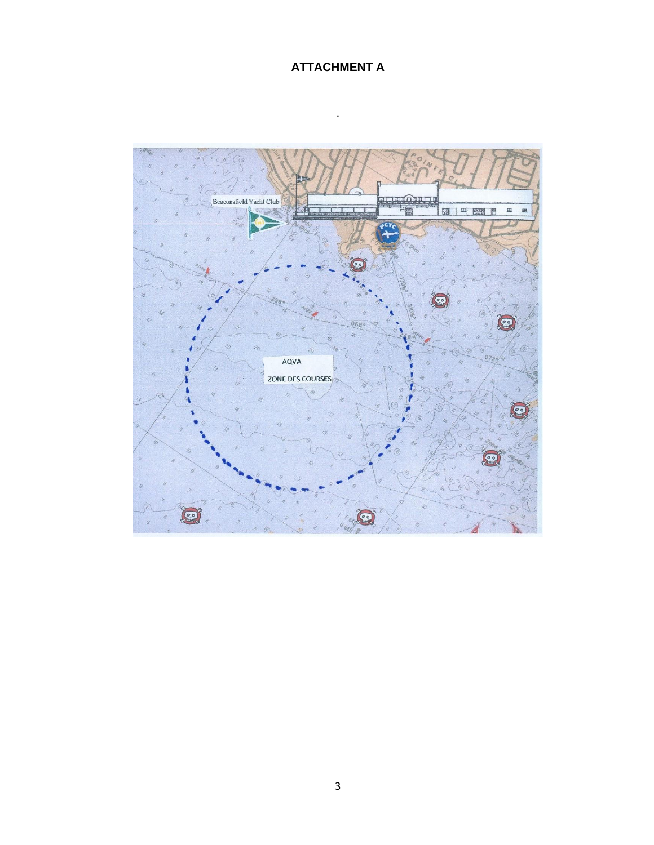# **ATTACHMENT A**

.